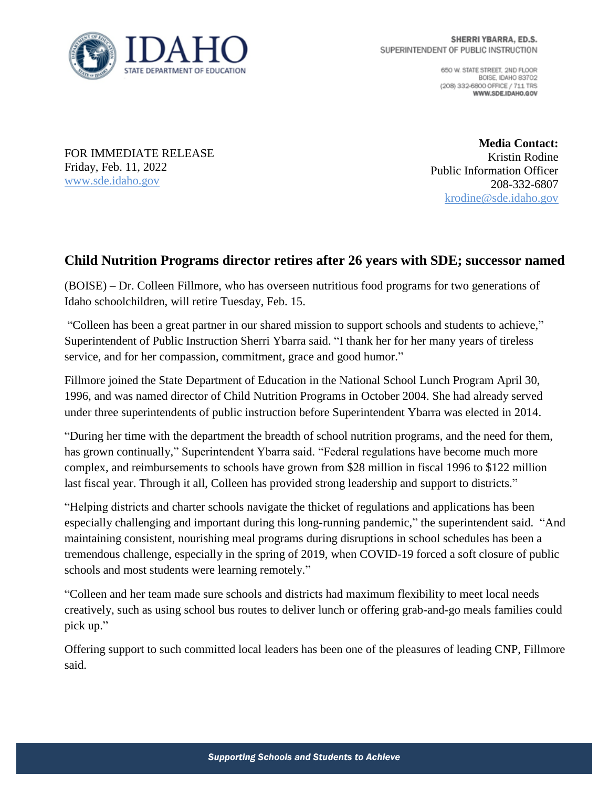

650 W. STATE STREET, 2ND FLOOR BOISE IDAHO 83702 (208) 332-6800 OFFICE / 711 TRS WWW.SDE.IDAHO.GOV

FOR IMMEDIATE RELEASE Friday, Feb. 11, 2022 [www.sde.idaho.gov](http://www.sde.idaho.gov/)

**Media Contact:** Kristin Rodine Public Information Officer 208-332-6807 [krodine@sde.idaho.gov](mailto:krodine@sde.idaho.gov)

## **Child Nutrition Programs director retires after 26 years with SDE; successor named**

(BOISE) – Dr. Colleen Fillmore, who has overseen nutritious food programs for two generations of Idaho schoolchildren, will retire Tuesday, Feb. 15.

"Colleen has been a great partner in our shared mission to support schools and students to achieve," Superintendent of Public Instruction Sherri Ybarra said. "I thank her for her many years of tireless service, and for her compassion, commitment, grace and good humor."

Fillmore joined the State Department of Education in the National School Lunch Program April 30, 1996, and was named director of Child Nutrition Programs in October 2004. She had already served under three superintendents of public instruction before Superintendent Ybarra was elected in 2014.

"During her time with the department the breadth of school nutrition programs, and the need for them, has grown continually," Superintendent Ybarra said. "Federal regulations have become much more complex, and reimbursements to schools have grown from \$28 million in fiscal 1996 to \$122 million last fiscal year. Through it all, Colleen has provided strong leadership and support to districts."

"Helping districts and charter schools navigate the thicket of regulations and applications has been especially challenging and important during this long-running pandemic," the superintendent said. "And maintaining consistent, nourishing meal programs during disruptions in school schedules has been a tremendous challenge, especially in the spring of 2019, when COVID-19 forced a soft closure of public schools and most students were learning remotely."

"Colleen and her team made sure schools and districts had maximum flexibility to meet local needs creatively, such as using school bus routes to deliver lunch or offering grab-and-go meals families could pick up."

Offering support to such committed local leaders has been one of the pleasures of leading CNP, Fillmore said.